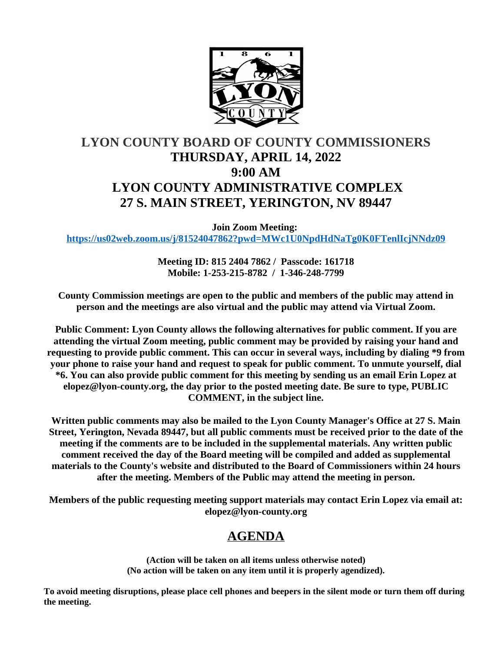

# **LYON COUNTY BOARD OF COUNTY COMMISSIONERS THURSDAY, APRIL 14, 2022 9:00 AM LYON COUNTY ADMINISTRATIVE COMPLEX 27 S. MAIN STREET, YERINGTON, NV 89447**

**Join Zoom Meeting: <https://us02web.zoom.us/j/81524047862?pwd=MWc1U0NpdHdNaTg0K0FTenlIcjNNdz09>**

> **Meeting ID: 815 2404 7862 / Passcode: 161718 Mobile: 1-253-215-8782 / 1-346-248-7799**

**County Commission meetings are open to the public and members of the public may attend in person and the meetings are also virtual and the public may attend via Virtual Zoom.**

**Public Comment: Lyon County allows the following alternatives for public comment. If you are attending the virtual Zoom meeting, public comment may be provided by raising your hand and requesting to provide public comment. This can occur in several ways, including by dialing \*9 from your phone to raise your hand and request to speak for public comment. To unmute yourself, dial \*6. You can also provide public comment for this meeting by sending us an email Erin Lopez at elopez@lyon-county.org, the day prior to the posted meeting date. Be sure to type, PUBLIC COMMENT, in the subject line.**

**Written public comments may also be mailed to the Lyon County Manager's Office at 27 S. Main Street, Yerington, Nevada 89447, but all public comments must be received prior to the date of the meeting if the comments are to be included in the supplemental materials. Any written public comment received the day of the Board meeting will be compiled and added as supplemental materials to the County's website and distributed to the Board of Commissioners within 24 hours after the meeting. Members of the Public may attend the meeting in person.**

**Members of the public requesting meeting support materials may contact Erin Lopez via email at: elopez@lyon-county.org**

# **AGENDA**

**(Action will be taken on all items unless otherwise noted) (No action will be taken on any item until it is properly agendized).**

**To avoid meeting disruptions, please place cell phones and beepers in the silent mode or turn them off during the meeting.**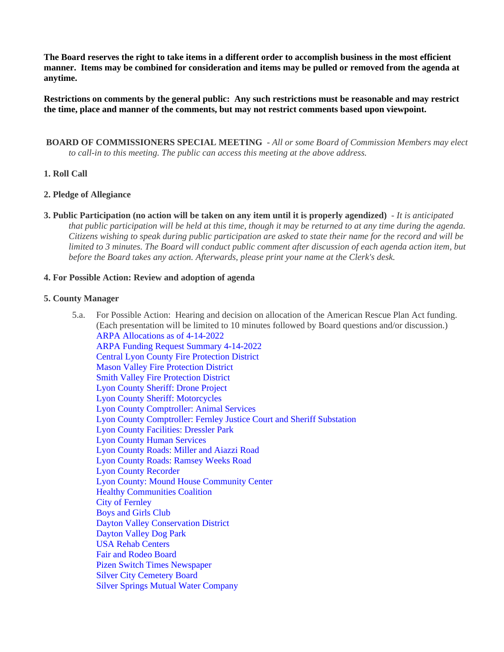**The Board reserves the right to take items in a different order to accomplish business in the most efficient manner. Items may be combined for consideration and items may be pulled or removed from the agenda at anytime.**

**Restrictions on comments by the general public: Any such restrictions must be reasonable and may restrict the time, place and manner of the comments, but may not restrict comments based upon viewpoint.**

 **BOARD OF COMMISSIONERS SPECIAL MEETING** - *All or some Board of Commission Members may elect to call-in to this meeting. The public can access this meeting at the above address.*

# **1. Roll Call**

# **2. Pledge of Allegiance**

**3. Public Participation (no action will be taken on any item until it is properly agendized)** - *It is anticipated that public participation will be held at this time, though it may be returned to at any time during the agenda. Citizens wishing to speak during public participation are asked to state their name for the record and will be limited to 3 minutes. The Board will conduct public comment after discussion of each agenda action item, but before the Board takes any action. Afterwards, please print your name at the Clerk's desk.*

#### **4. For Possible Action: Review and adoption of agenda**

#### **5. County Manager**

5.a. For Possible Action: Hearing and decision on allocation of the American Rescue Plan Act funding. (Each presentation will be limited to 10 minutes followed by Board questions and/or discussion.) [ARPA Allocations as of 4-14-2022](https://legistarweb-production.s3.amazonaws.com/uploads/attachment/pdf/1319403/ARPA_Allocations_as2022.pdf) [ARPA Funding Request Summary 4-14-2022](https://legistarweb-production.s3.amazonaws.com/uploads/attachment/pdf/1319410/ARPA_Funding_Request_Summary_2022.pdf) [Central Lyon County Fire Protection District](https://legistarweb-production.s3.amazonaws.com/uploads/attachment/pdf/1315029/Central_Lyon_County_Fire_Protection_District-_ARPA_Request_Form.pdf) [Mason Valley Fire Protection District](https://legistarweb-production.s3.amazonaws.com/uploads/attachment/pdf/1315037/MVFPD__ARPA_Request_.pdf) [Smith Valley Fire Protection District](https://legistarweb-production.s3.amazonaws.com/uploads/attachment/pdf/1315044/SVFPD_ARPA_Request_Form.pdf) [Lyon County Sheriff: Drone Project](https://legistarweb-production.s3.amazonaws.com/uploads/attachment/pdf/1319538/Lyon_County_Sheriff_Drone_Project.pdf) [Lyon County Sheriff: Motorcycles](https://legistarweb-production.s3.amazonaws.com/uploads/attachment/pdf/1318218/Sheriff_Motorcycle.pdf) [Lyon County Comptroller: Animal Services](https://legistarweb-production.s3.amazonaws.com/uploads/attachment/pdf/1315027/Animal_Services_JoshFoli.pdf) [Lyon County Comptroller: Fernley Justice Court and Sheriff Substation](https://legistarweb-production.s3.amazonaws.com/uploads/attachment/pdf/1315035/Fernley_Justice_Court_and_Sheriff_Substation_Josh_Foli.pdf) [Lyon County Facilities: Dressler Park](https://legistarweb-production.s3.amazonaws.com/uploads/attachment/pdf/1315033/Dressler_Park__ARPA_Request.pdf) [Lyon County Human Services](https://legistarweb-production.s3.amazonaws.com/uploads/attachment/pdf/1315693/Lyon_County_Human_Services.pdf) [Lyon County Roads: Miller and Aiazzi Road](https://legistarweb-production.s3.amazonaws.com/uploads/attachment/pdf/1315036/Miller_and_Aiazzi_Road_ARPA_Request.pdf) [Lyon County Roads: Ramsey Weeks Road](https://legistarweb-production.s3.amazonaws.com/uploads/attachment/pdf/1315039/Ramsey_Weeks_Road_ARPA_Request.pdf) [Lyon County Recorder](https://legistarweb-production.s3.amazonaws.com/uploads/attachment/pdf/1315040/Recorders_ARPA_Request.pdf) [Lyon County: Mound House Community Center](https://legistarweb-production.s3.amazonaws.com/uploads/attachment/pdf/1316192/Mound_House_Community_Center.pdf) [Healthy Communities Coalition](https://legistarweb-production.s3.amazonaws.com/uploads/attachment/pdf/1315092/Healthy_Communities_Coalition.pdf) [City of Fernley](https://legistarweb-production.s3.amazonaws.com/uploads/attachment/pdf/1315030/City_of_Fernely_ARPA_Requests.pdf)  [Boys and Girls Club](https://legistarweb-production.s3.amazonaws.com/uploads/attachment/pdf/1315028/Boys_ans_Girls_Club__ARPA_Request.pdf) [Dayton Valley Conservation District](https://legistarweb-production.s3.amazonaws.com/uploads/attachment/pdf/1315031/Dayton_Valley_Conservation_District.pdf) [Dayton Valley Dog Park](https://legistarweb-production.s3.amazonaws.com/uploads/attachment/pdf/1315032/Dayton_Valley_Dog_Park_ARPA_Final.pdf) [USA Rehab Centers](https://legistarweb-production.s3.amazonaws.com/uploads/attachment/pdf/1315045/USA_Rehab_Centers_.pdf) [Fair and Rodeo Board](https://legistarweb-production.s3.amazonaws.com/uploads/attachment/pdf/1315034/Fair_and_Rodeo_Arpa_Request.pdf) [Pizen Switch Times Newspaper](https://legistarweb-production.s3.amazonaws.com/uploads/attachment/pdf/1315038/Pizen_Switch_Times_Newspaper.pdf) [Silver City Cemetery Board](https://legistarweb-production.s3.amazonaws.com/uploads/attachment/pdf/1315042/Silver_City_Cemetery_Board_Request_for_ARPA_Funding_April_2022.pdf) [Silver Springs Mutual Water Company](https://legistarweb-production.s3.amazonaws.com/uploads/attachment/pdf/1315043/Silver_Springs_Mutual_Water_Company.pdf)